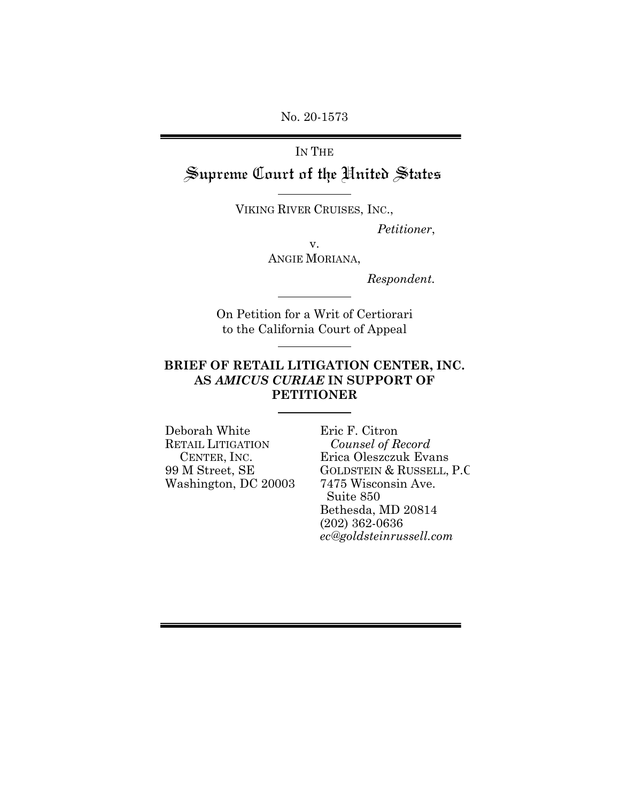No. 20-1573

# IN THE Supreme Court of the United States

VIKING RIVER CRUISES, INC.,

 *Petitioner*,

v. ANGIE MORIANA,

*Respondent.* 

On Petition for a Writ of Certiorari to the California Court of Appeal

### **BRIEF OF RETAIL LITIGATION CENTER, INC. AS** *AMICUS CURIAE* **IN SUPPORT OF PETITIONER**

Deborah White RETAIL LITIGATION CENTER, INC. 99 M Street, SE Washington, DC 20003 Eric F. Citron *Counsel of Record* Erica Oleszczuk Evans GOLDSTEIN & RUSSELL, P.C 7475 Wisconsin Ave. Suite 850 Bethesda, MD 20814 (202) 362-0636 *ec@goldsteinrussell.com*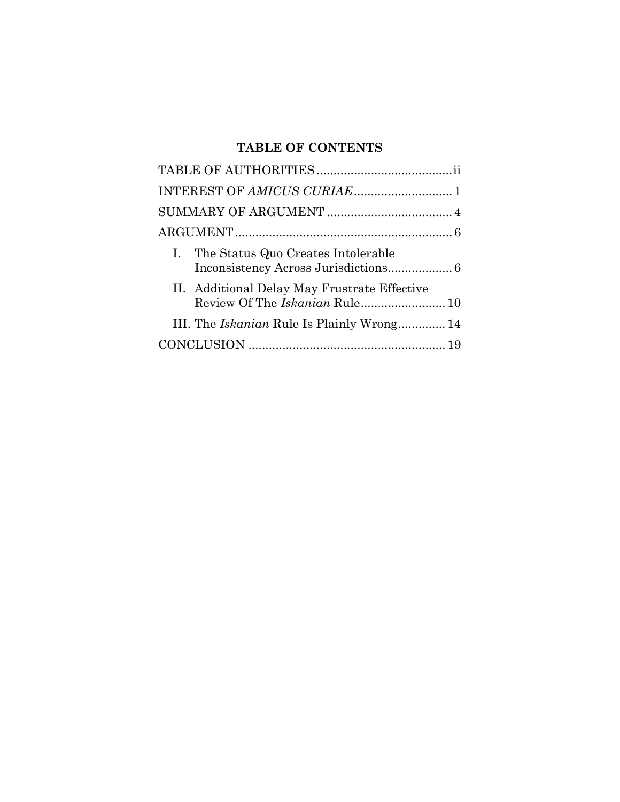## **TABLE OF CONTENTS**

|  | I. The Status Quo Creates Intolerable             |  |  |
|--|---------------------------------------------------|--|--|
|  | II. Additional Delay May Frustrate Effective      |  |  |
|  | III. The <i>Iskanian</i> Rule Is Plainly Wrong 14 |  |  |
|  |                                                   |  |  |
|  |                                                   |  |  |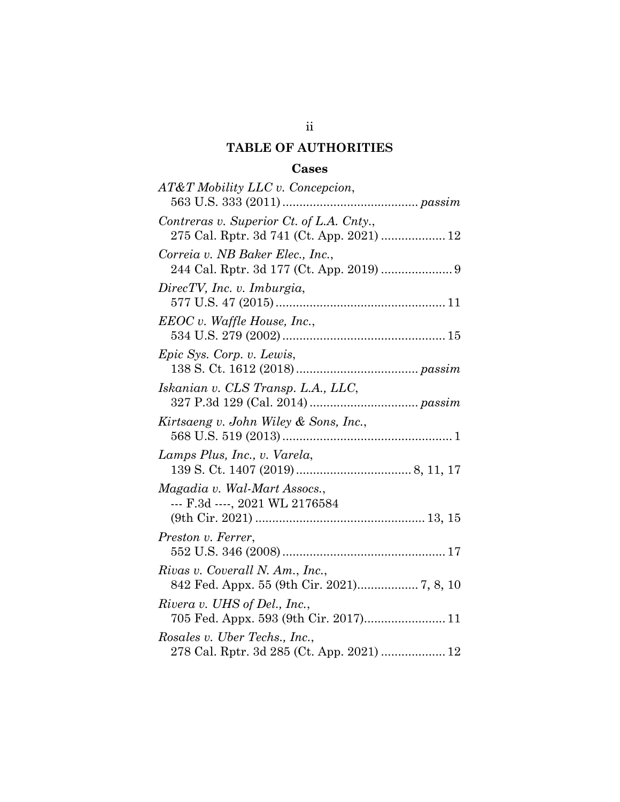## **TABLE OF AUTHORITIES**

### Cases

| AT&T Mobility LLC v. Concepcion,                                                      |
|---------------------------------------------------------------------------------------|
| Contreras v. Superior Ct. of L.A. Cnty.,<br>275 Cal. Rptr. 3d 741 (Ct. App. 2021)  12 |
| Correia v. NB Baker Elec., Inc.,                                                      |
| DirecTV, Inc. v. Imburgia,                                                            |
| $EEOC v.$ Waffle House, Inc.,                                                         |
| Epic Sys. Corp. v. Lewis,                                                             |
| Iskanian v. CLS Transp. L.A., LLC,                                                    |
| Kirtsaeng v. John Wiley & Sons, Inc.,                                                 |
| Lamps Plus, Inc., v. Varela,                                                          |
| Magadia v. Wal-Mart Assocs.,<br>--- F.3d ----, 2021 WL 2176584                        |
| Preston v. Ferrer,                                                                    |
| Rivas v. Coverall N. Am., Inc.,<br>842 Fed. Appx. 55 (9th Cir. 2021) 7, 8, 10         |
| Rivera v. UHS of Del., Inc.,<br>705 Fed. Appx. 593 (9th Cir. 2017) 11                 |
| Rosales v. Uber Techs., Inc.,                                                         |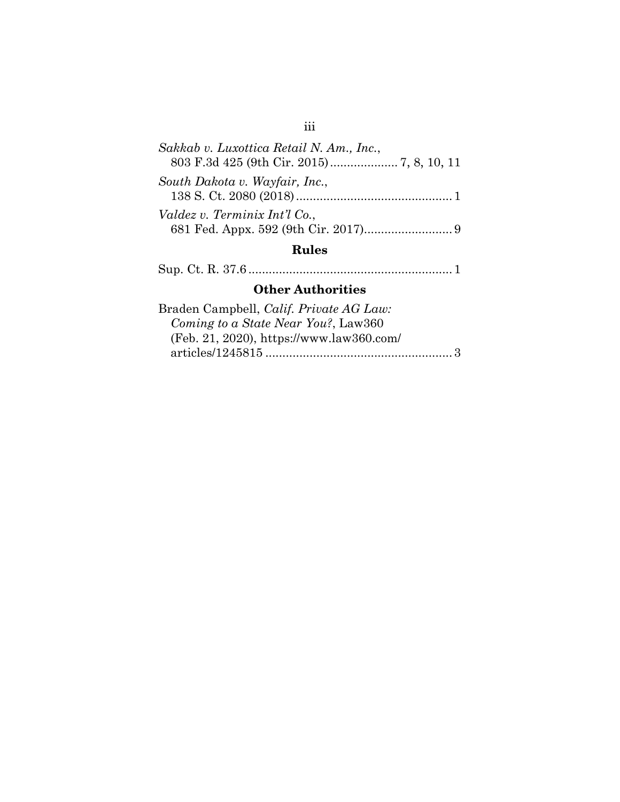## Rules

|--|--|--|

## Other Authorities

| Braden Campbell, Calif. Private AG Law:  |  |
|------------------------------------------|--|
| Coming to a State Near You?, Law360      |  |
| (Feb. 21, 2020), https://www.law360.com/ |  |
|                                          |  |

## iii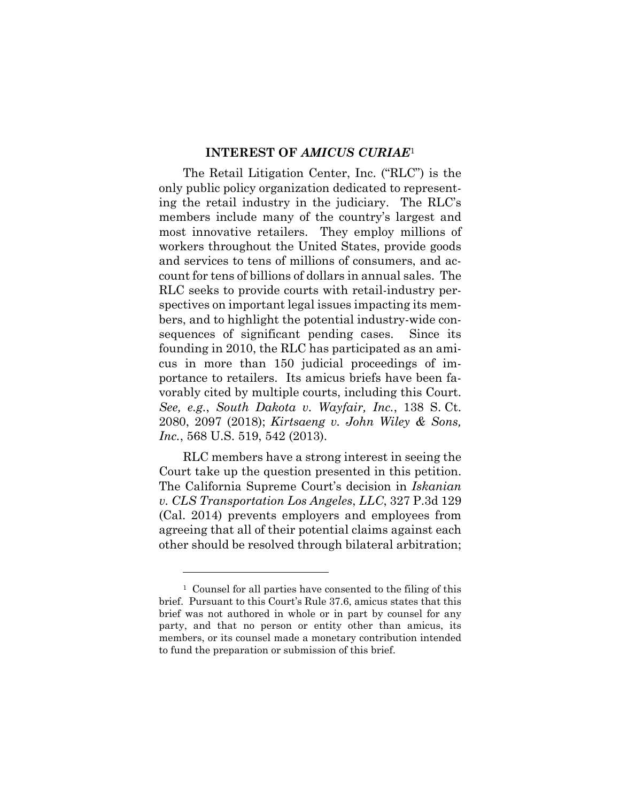#### **INTEREST OF** *AMICUS CURIAE*<sup>1</sup>

The Retail Litigation Center, Inc. ("RLC") is the only public policy organization dedicated to representing the retail industry in the judiciary. The RLC's members include many of the country's largest and most innovative retailers. They employ millions of workers throughout the United States, provide goods and services to tens of millions of consumers, and account for tens of billions of dollars in annual sales. The RLC seeks to provide courts with retail-industry perspectives on important legal issues impacting its members, and to highlight the potential industry-wide consequences of significant pending cases. Since its founding in 2010, the RLC has participated as an amicus in more than 150 judicial proceedings of importance to retailers. Its amicus briefs have been favorably cited by multiple courts, including this Court. *See, e.g.*, *South Dakota v. Wayfair, Inc.*, 138 S. Ct. 2080, 2097 (2018); *Kirtsaeng v. John Wiley & Sons, Inc.*, 568 U.S. 519, 542 (2013).

RLC members have a strong interest in seeing the Court take up the question presented in this petition. The California Supreme Court's decision in *Iskanian v. CLS Transportation Los Angeles*, *LLC*, 327 P.3d 129 (Cal. 2014) prevents employers and employees from agreeing that all of their potential claims against each other should be resolved through bilateral arbitration;

<sup>1</sup> Counsel for all parties have consented to the filing of this brief. Pursuant to this Court's Rule 37.6, amicus states that this brief was not authored in whole or in part by counsel for any party, and that no person or entity other than amicus, its members, or its counsel made a monetary contribution intended to fund the preparation or submission of this brief.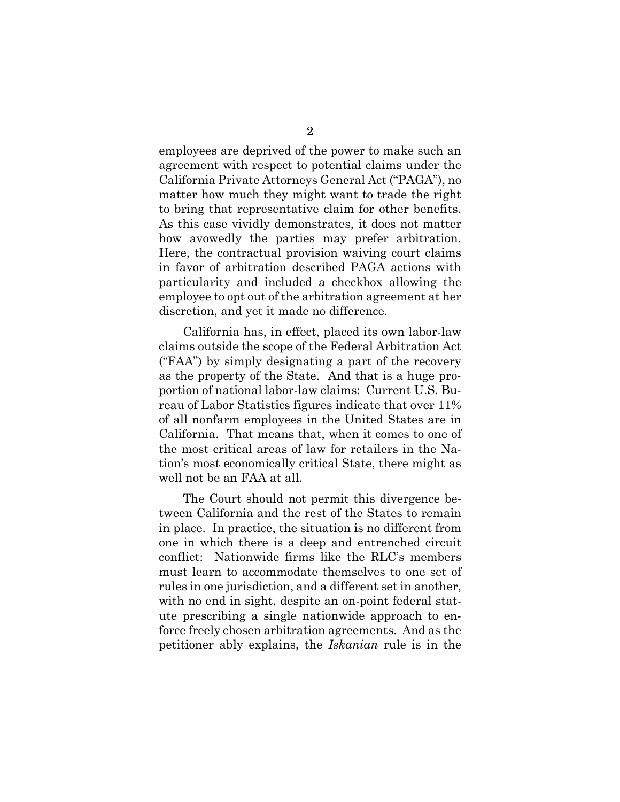employees are deprived of the power to make such an agreement with respect to potential claims under the California Private Attorneys General Act ("PAGA"), no matter how much they might want to trade the right to bring that representative claim for other benefits. As this case vividly demonstrates, it does not matter how avowedly the parties may prefer arbitration. Here, the contractual provision waiving court claims in favor of arbitration described PAGA actions with particularity and included a checkbox allowing the employee to opt out of the arbitration agreement at her discretion, and yet it made no difference.

California has, in effect, placed its own labor-law claims outside the scope of the Federal Arbitration Act ("FAA") by simply designating a part of the recovery as the property of the State. And that is a huge proportion of national labor-law claims: Current U.S. Bureau of Labor Statistics figures indicate that over 11% of all nonfarm employees in the United States are in California. That means that, when it comes to one of the most critical areas of law for retailers in the Nation's most economically critical State, there might as well not be an FAA at all.

The Court should not permit this divergence between California and the rest of the States to remain in place. In practice, the situation is no different from one in which there is a deep and entrenched circuit conflict: Nationwide firms like the RLC's members must learn to accommodate themselves to one set of rules in one jurisdiction, and a different set in another, with no end in sight, despite an on-point federal statute prescribing a single nationwide approach to enforce freely chosen arbitration agreements. And as the petitioner ably explains, the *Iskanian* rule is in the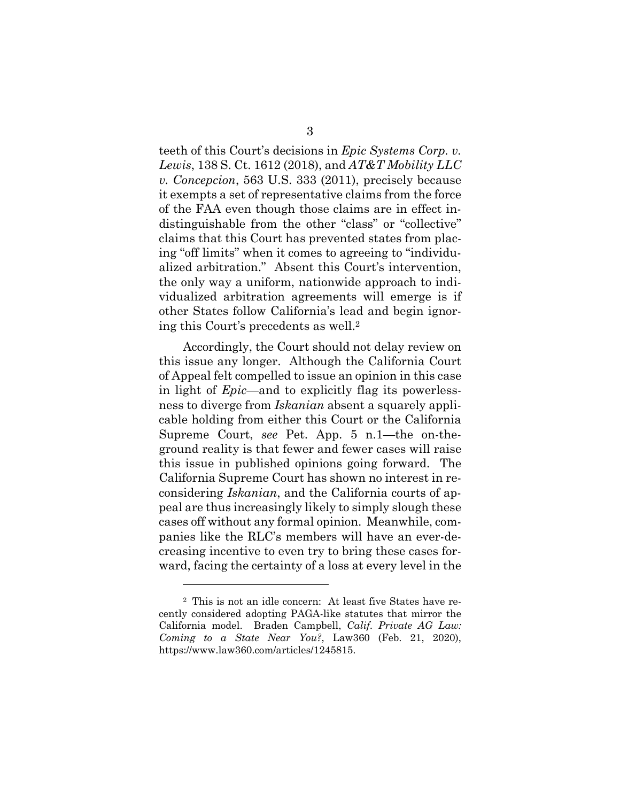teeth of this Court's decisions in *Epic Systems Corp. v. Lewis*, 138 S. Ct. 1612 (2018), and *AT&T Mobility LLC v. Concepcion*, 563 U.S. 333 (2011), precisely because it exempts a set of representative claims from the force of the FAA even though those claims are in effect indistinguishable from the other "class" or "collective" claims that this Court has prevented states from placing "off limits" when it comes to agreeing to "individualized arbitration." Absent this Court's intervention, the only way a uniform, nationwide approach to individualized arbitration agreements will emerge is if other States follow California's lead and begin ignoring this Court's precedents as well.2

Accordingly, the Court should not delay review on this issue any longer. Although the California Court of Appeal felt compelled to issue an opinion in this case in light of *Epic*—and to explicitly flag its powerlessness to diverge from *Iskanian* absent a squarely applicable holding from either this Court or the California Supreme Court, *see* Pet. App. 5 n.1—the on-theground reality is that fewer and fewer cases will raise this issue in published opinions going forward. The California Supreme Court has shown no interest in reconsidering *Iskanian*, and the California courts of appeal are thus increasingly likely to simply slough these cases off without any formal opinion. Meanwhile, companies like the RLC's members will have an ever-decreasing incentive to even try to bring these cases forward, facing the certainty of a loss at every level in the

<sup>2</sup> This is not an idle concern: At least five States have recently considered adopting PAGA-like statutes that mirror the California model. Braden Campbell, *Calif. Private AG Law: Coming to a State Near You?*, Law360 (Feb. 21, 2020), https://www.law360.com/articles/1245815.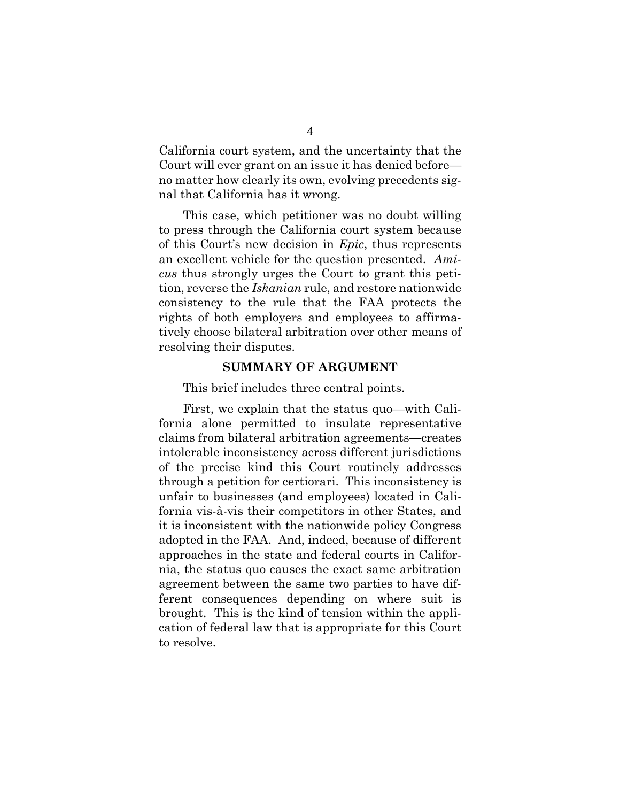California court system, and the uncertainty that the Court will ever grant on an issue it has denied before no matter how clearly its own, evolving precedents signal that California has it wrong.

This case, which petitioner was no doubt willing to press through the California court system because of this Court's new decision in *Epic*, thus represents an excellent vehicle for the question presented. *Amicus* thus strongly urges the Court to grant this petition, reverse the *Iskanian* rule, and restore nationwide consistency to the rule that the FAA protects the rights of both employers and employees to affirmatively choose bilateral arbitration over other means of resolving their disputes.

#### **SUMMARY OF ARGUMENT**

This brief includes three central points.

First, we explain that the status quo—with California alone permitted to insulate representative claims from bilateral arbitration agreements—creates intolerable inconsistency across different jurisdictions of the precise kind this Court routinely addresses through a petition for certiorari. This inconsistency is unfair to businesses (and employees) located in California vis-à-vis their competitors in other States, and it is inconsistent with the nationwide policy Congress adopted in the FAA. And, indeed, because of different approaches in the state and federal courts in California, the status quo causes the exact same arbitration agreement between the same two parties to have different consequences depending on where suit is brought. This is the kind of tension within the application of federal law that is appropriate for this Court to resolve.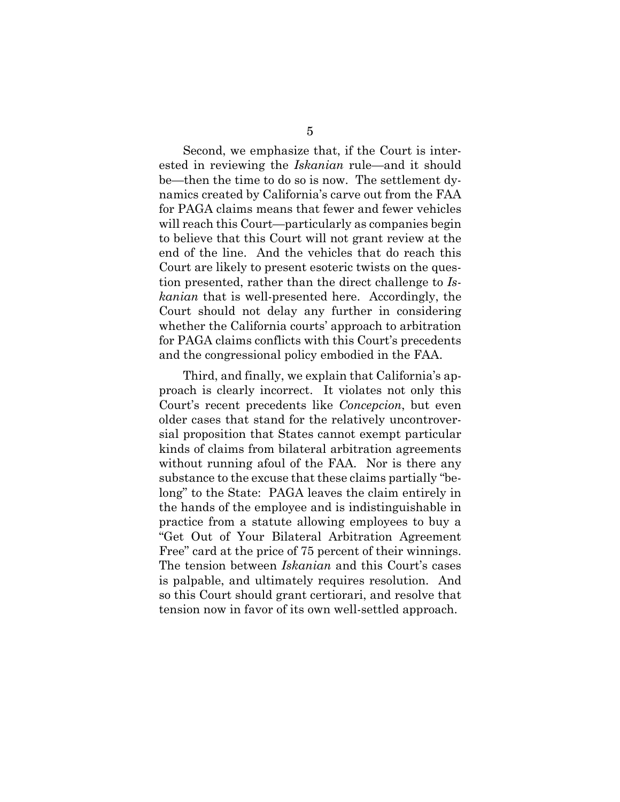Second, we emphasize that, if the Court is interested in reviewing the *Iskanian* rule—and it should be—then the time to do so is now. The settlement dynamics created by California's carve out from the FAA for PAGA claims means that fewer and fewer vehicles will reach this Court—particularly as companies begin to believe that this Court will not grant review at the end of the line. And the vehicles that do reach this Court are likely to present esoteric twists on the question presented, rather than the direct challenge to *Iskanian* that is well-presented here. Accordingly, the Court should not delay any further in considering whether the California courts' approach to arbitration for PAGA claims conflicts with this Court's precedents and the congressional policy embodied in the FAA.

Third, and finally, we explain that California's approach is clearly incorrect. It violates not only this Court's recent precedents like *Concepcion*, but even older cases that stand for the relatively uncontroversial proposition that States cannot exempt particular kinds of claims from bilateral arbitration agreements without running afoul of the FAA. Nor is there any substance to the excuse that these claims partially "belong" to the State: PAGA leaves the claim entirely in the hands of the employee and is indistinguishable in practice from a statute allowing employees to buy a "Get Out of Your Bilateral Arbitration Agreement Free" card at the price of 75 percent of their winnings. The tension between *Iskanian* and this Court's cases is palpable, and ultimately requires resolution. And so this Court should grant certiorari, and resolve that tension now in favor of its own well-settled approach.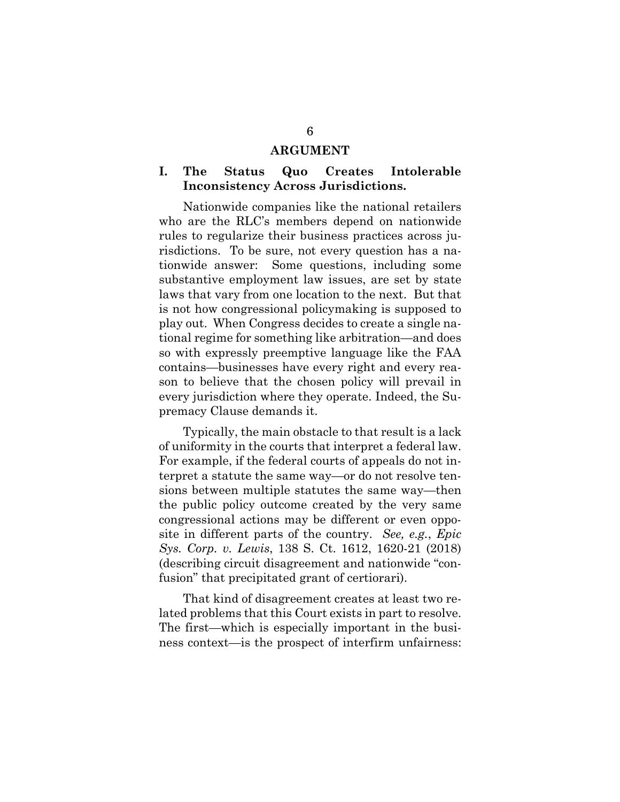#### **ARGUMENT**

#### **I. The Status Quo Creates Intolerable Inconsistency Across Jurisdictions.**

Nationwide companies like the national retailers who are the RLC's members depend on nationwide rules to regularize their business practices across jurisdictions. To be sure, not every question has a nationwide answer: Some questions, including some substantive employment law issues, are set by state laws that vary from one location to the next. But that is not how congressional policymaking is supposed to play out. When Congress decides to create a single national regime for something like arbitration—and does so with expressly preemptive language like the FAA contains—businesses have every right and every reason to believe that the chosen policy will prevail in every jurisdiction where they operate. Indeed, the Supremacy Clause demands it.

Typically, the main obstacle to that result is a lack of uniformity in the courts that interpret a federal law. For example, if the federal courts of appeals do not interpret a statute the same way—or do not resolve tensions between multiple statutes the same way—then the public policy outcome created by the very same congressional actions may be different or even opposite in different parts of the country. *See, e.g.*, *Epic Sys. Corp. v. Lewis*, 138 S. Ct. 1612, 1620-21 (2018) (describing circuit disagreement and nationwide "confusion" that precipitated grant of certiorari).

That kind of disagreement creates at least two related problems that this Court exists in part to resolve. The first—which is especially important in the business context—is the prospect of interfirm unfairness: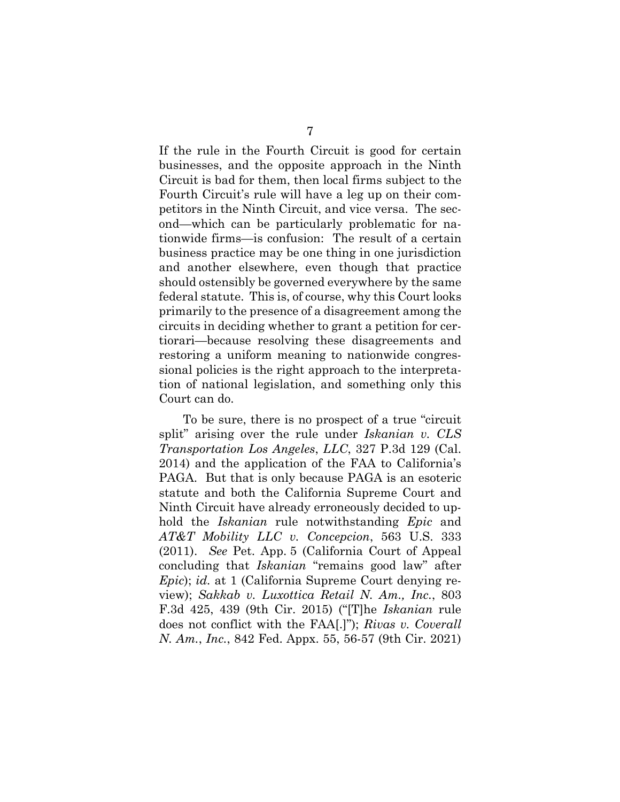If the rule in the Fourth Circuit is good for certain businesses, and the opposite approach in the Ninth Circuit is bad for them, then local firms subject to the Fourth Circuit's rule will have a leg up on their competitors in the Ninth Circuit, and vice versa. The second—which can be particularly problematic for nationwide firms—is confusion: The result of a certain business practice may be one thing in one jurisdiction and another elsewhere, even though that practice should ostensibly be governed everywhere by the same federal statute. This is, of course, why this Court looks primarily to the presence of a disagreement among the circuits in deciding whether to grant a petition for certiorari—because resolving these disagreements and restoring a uniform meaning to nationwide congressional policies is the right approach to the interpretation of national legislation, and something only this Court can do.

To be sure, there is no prospect of a true "circuit split" arising over the rule under *Iskanian v. CLS Transportation Los Angeles*, *LLC*, 327 P.3d 129 (Cal. 2014) and the application of the FAA to California's PAGA. But that is only because PAGA is an esoteric statute and both the California Supreme Court and Ninth Circuit have already erroneously decided to uphold the *Iskanian* rule notwithstanding *Epic* and *AT&T Mobility LLC v. Concepcion*, 563 U.S. 333 (2011). *See* Pet. App. 5 (California Court of Appeal concluding that *Iskanian* "remains good law" after *Epic*); *id.* at 1 (California Supreme Court denying review); *Sakkab v. Luxottica Retail N. Am., Inc.*, 803 F.3d 425, 439 (9th Cir. 2015) ("[T]he *Iskanian* rule does not conflict with the FAA[.]"); *Rivas v. Coverall N. Am.*, *Inc.*, 842 Fed. Appx. 55, 56-57 (9th Cir. 2021)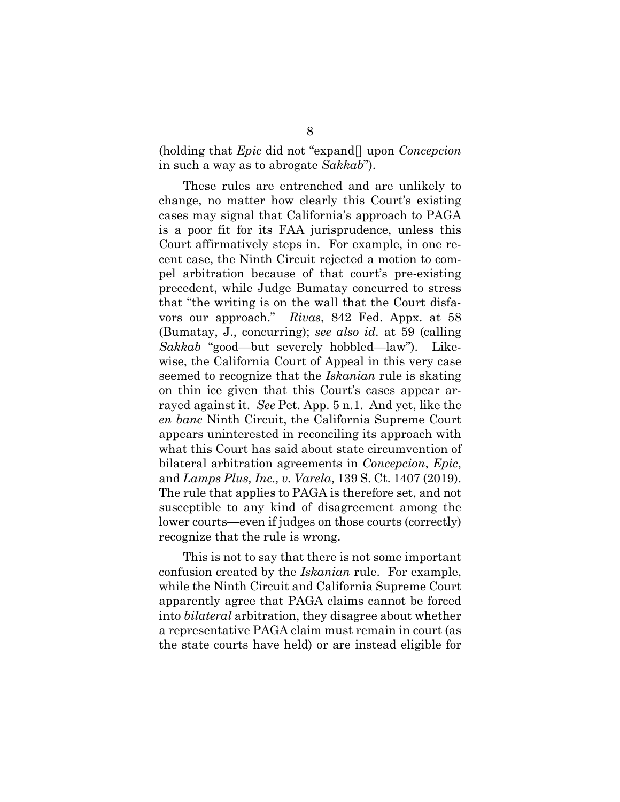(holding that *Epic* did not "expand[] upon *Concepcion*  in such a way as to abrogate *Sakkab*").

These rules are entrenched and are unlikely to change, no matter how clearly this Court's existing cases may signal that California's approach to PAGA is a poor fit for its FAA jurisprudence, unless this Court affirmatively steps in. For example, in one recent case, the Ninth Circuit rejected a motion to compel arbitration because of that court's pre-existing precedent, while Judge Bumatay concurred to stress that "the writing is on the wall that the Court disfavors our approach." *Rivas*, 842 Fed. Appx. at 58 (Bumatay, J., concurring); *see also id.* at 59 (calling *Sakkab* "good—but severely hobbled—law"). Likewise, the California Court of Appeal in this very case seemed to recognize that the *Iskanian* rule is skating on thin ice given that this Court's cases appear arrayed against it. *See* Pet. App. 5 n.1. And yet, like the *en banc* Ninth Circuit, the California Supreme Court appears uninterested in reconciling its approach with what this Court has said about state circumvention of bilateral arbitration agreements in *Concepcion*, *Epic*, and *Lamps Plus, Inc., v. Varela*, 139 S. Ct. 1407 (2019). The rule that applies to PAGA is therefore set, and not susceptible to any kind of disagreement among the lower courts—even if judges on those courts (correctly) recognize that the rule is wrong.

This is not to say that there is not some important confusion created by the *Iskanian* rule. For example, while the Ninth Circuit and California Supreme Court apparently agree that PAGA claims cannot be forced into *bilateral* arbitration, they disagree about whether a representative PAGA claim must remain in court (as the state courts have held) or are instead eligible for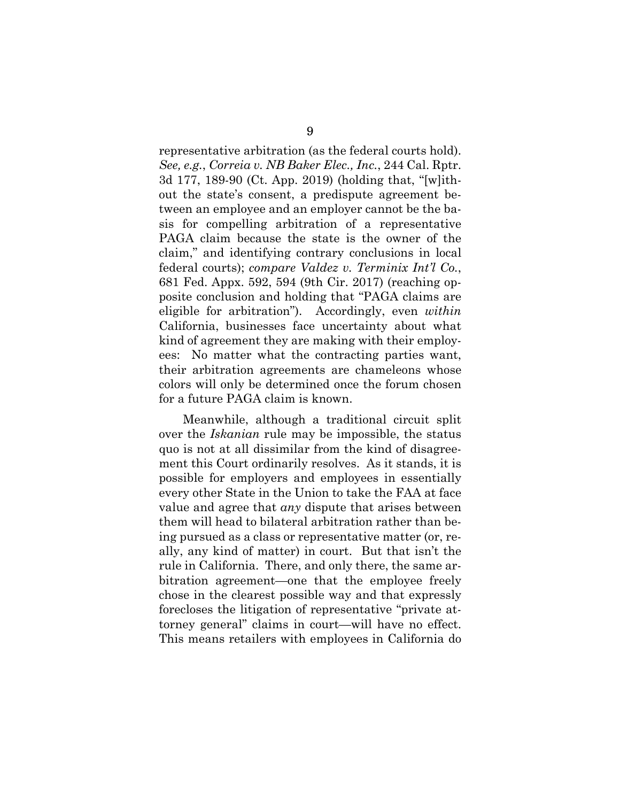representative arbitration (as the federal courts hold). *See, e.g.*, *Correia v. NB Baker Elec., Inc.*, 244 Cal. Rptr. 3d 177, 189-90 (Ct. App. 2019) (holding that, "[w]ithout the state's consent, a predispute agreement between an employee and an employer cannot be the basis for compelling arbitration of a representative PAGA claim because the state is the owner of the claim," and identifying contrary conclusions in local federal courts); *compare Valdez v. Terminix Int'l Co.*, 681 Fed. Appx. 592, 594 (9th Cir. 2017) (reaching opposite conclusion and holding that "PAGA claims are eligible for arbitration"). Accordingly, even *within*  California, businesses face uncertainty about what kind of agreement they are making with their employees: No matter what the contracting parties want, their arbitration agreements are chameleons whose colors will only be determined once the forum chosen for a future PAGA claim is known.

Meanwhile, although a traditional circuit split over the *Iskanian* rule may be impossible, the status quo is not at all dissimilar from the kind of disagreement this Court ordinarily resolves. As it stands, it is possible for employers and employees in essentially every other State in the Union to take the FAA at face value and agree that *any* dispute that arises between them will head to bilateral arbitration rather than being pursued as a class or representative matter (or, really, any kind of matter) in court. But that isn't the rule in California. There, and only there, the same arbitration agreement—one that the employee freely chose in the clearest possible way and that expressly forecloses the litigation of representative "private attorney general" claims in court—will have no effect. This means retailers with employees in California do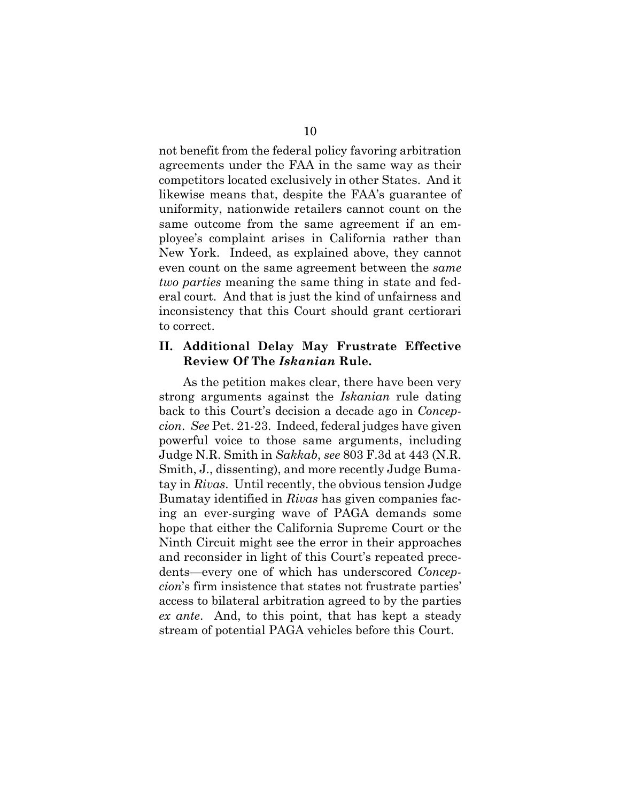not benefit from the federal policy favoring arbitration agreements under the FAA in the same way as their competitors located exclusively in other States. And it likewise means that, despite the FAA's guarantee of uniformity, nationwide retailers cannot count on the same outcome from the same agreement if an employee's complaint arises in California rather than New York. Indeed, as explained above, they cannot even count on the same agreement between the *same two parties* meaning the same thing in state and federal court. And that is just the kind of unfairness and inconsistency that this Court should grant certiorari to correct.

#### **II. Additional Delay May Frustrate Effective Review Of The** *Iskanian* **Rule.**

As the petition makes clear, there have been very strong arguments against the *Iskanian* rule dating back to this Court's decision a decade ago in *Concepcion*. *See* Pet. 21-23. Indeed, federal judges have given powerful voice to those same arguments, including Judge N.R. Smith in *Sakkab*, *see* 803 F.3d at 443 (N.R. Smith, J., dissenting), and more recently Judge Bumatay in *Rivas*. Until recently, the obvious tension Judge Bumatay identified in *Rivas* has given companies facing an ever-surging wave of PAGA demands some hope that either the California Supreme Court or the Ninth Circuit might see the error in their approaches and reconsider in light of this Court's repeated precedents—every one of which has underscored *Concepcion*'s firm insistence that states not frustrate parties' access to bilateral arbitration agreed to by the parties *ex ante*. And, to this point, that has kept a steady stream of potential PAGA vehicles before this Court.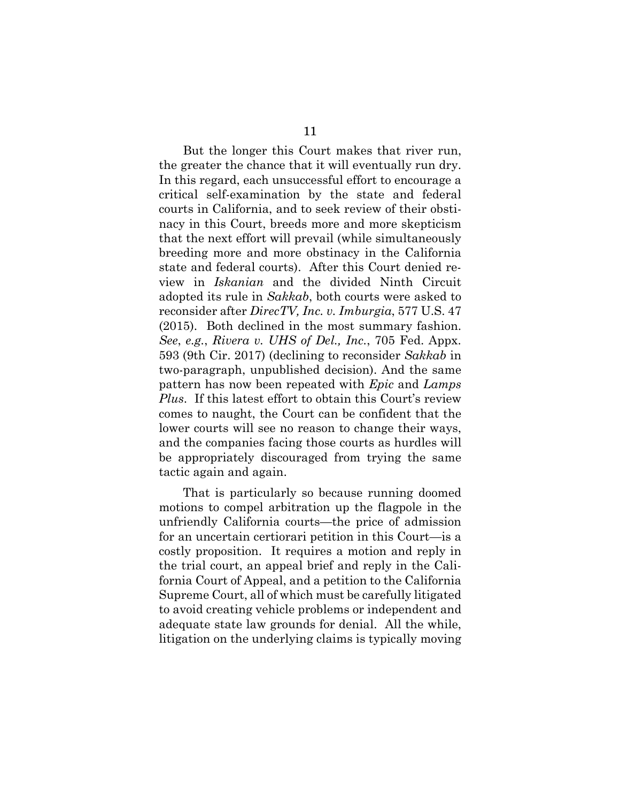But the longer this Court makes that river run, the greater the chance that it will eventually run dry. In this regard, each unsuccessful effort to encourage a critical self-examination by the state and federal courts in California, and to seek review of their obstinacy in this Court, breeds more and more skepticism that the next effort will prevail (while simultaneously breeding more and more obstinacy in the California state and federal courts). After this Court denied review in *Iskanian* and the divided Ninth Circuit adopted its rule in *Sakkab*, both courts were asked to reconsider after *DirecTV, Inc. v. Imburgia*, 577 U.S. 47 (2015). Both declined in the most summary fashion. *See*, *e.g.*, *Rivera v. UHS of Del., Inc.*, 705 Fed. Appx. 593 (9th Cir. 2017) (declining to reconsider *Sakkab* in two-paragraph, unpublished decision). And the same pattern has now been repeated with *Epic* and *Lamps Plus*.If this latest effort to obtain this Court's review comes to naught, the Court can be confident that the lower courts will see no reason to change their ways, and the companies facing those courts as hurdles will be appropriately discouraged from trying the same tactic again and again.

That is particularly so because running doomed motions to compel arbitration up the flagpole in the unfriendly California courts—the price of admission for an uncertain certiorari petition in this Court—is a costly proposition. It requires a motion and reply in the trial court, an appeal brief and reply in the California Court of Appeal, and a petition to the California Supreme Court, all of which must be carefully litigated to avoid creating vehicle problems or independent and adequate state law grounds for denial. All the while, litigation on the underlying claims is typically moving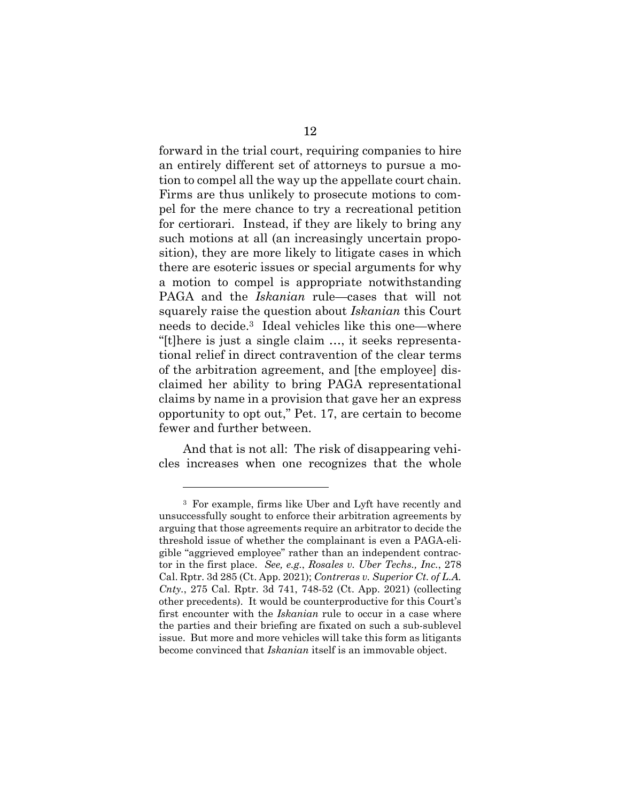forward in the trial court, requiring companies to hire an entirely different set of attorneys to pursue a motion to compel all the way up the appellate court chain. Firms are thus unlikely to prosecute motions to compel for the mere chance to try a recreational petition for certiorari. Instead, if they are likely to bring any such motions at all (an increasingly uncertain proposition), they are more likely to litigate cases in which there are esoteric issues or special arguments for why a motion to compel is appropriate notwithstanding PAGA and the *Iskanian* rule—cases that will not squarely raise the question about *Iskanian* this Court needs to decide.3 Ideal vehicles like this one—where "[t]here is just a single claim …, it seeks representational relief in direct contravention of the clear terms of the arbitration agreement, and [the employee] disclaimed her ability to bring PAGA representational claims by name in a provision that gave her an express opportunity to opt out," Pet. 17, are certain to become fewer and further between.

And that is not all: The risk of disappearing vehicles increases when one recognizes that the whole

<sup>3</sup> For example, firms like Uber and Lyft have recently and unsuccessfully sought to enforce their arbitration agreements by arguing that those agreements require an arbitrator to decide the threshold issue of whether the complainant is even a PAGA-eligible "aggrieved employee" rather than an independent contractor in the first place. *See, e.g.*, *Rosales v. Uber Techs., Inc.*, 278 Cal. Rptr. 3d 285 (Ct. App. 2021); *Contreras v. Superior Ct. of L.A. Cnty.*, 275 Cal. Rptr. 3d 741, 748-52 (Ct. App. 2021) (collecting other precedents). It would be counterproductive for this Court's first encounter with the *Iskanian* rule to occur in a case where the parties and their briefing are fixated on such a sub-sublevel issue. But more and more vehicles will take this form as litigants become convinced that *Iskanian* itself is an immovable object.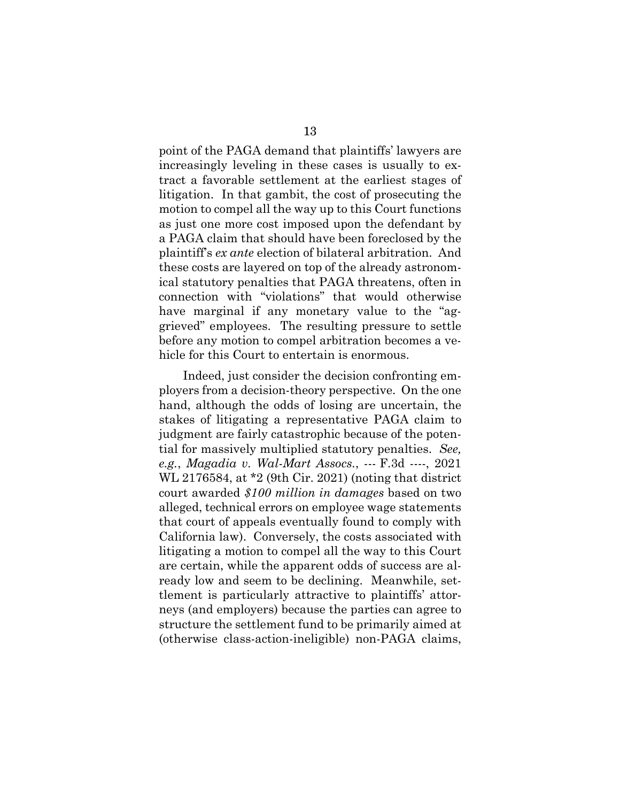point of the PAGA demand that plaintiffs' lawyers are increasingly leveling in these cases is usually to extract a favorable settlement at the earliest stages of litigation. In that gambit, the cost of prosecuting the motion to compel all the way up to this Court functions as just one more cost imposed upon the defendant by a PAGA claim that should have been foreclosed by the plaintiff's *ex ante* election of bilateral arbitration. And these costs are layered on top of the already astronomical statutory penalties that PAGA threatens, often in connection with "violations" that would otherwise have marginal if any monetary value to the "aggrieved" employees. The resulting pressure to settle before any motion to compel arbitration becomes a vehicle for this Court to entertain is enormous.

Indeed, just consider the decision confronting employers from a decision-theory perspective. On the one hand, although the odds of losing are uncertain, the stakes of litigating a representative PAGA claim to judgment are fairly catastrophic because of the potential for massively multiplied statutory penalties. *See, e.g.*, *Magadia v. Wal-Mart Assocs.*, --- F.3d ----, 2021 WL 2176584, at \*2 (9th Cir. 2021) (noting that district court awarded *\$100 million in damages* based on two alleged, technical errors on employee wage statements that court of appeals eventually found to comply with California law). Conversely, the costs associated with litigating a motion to compel all the way to this Court are certain, while the apparent odds of success are already low and seem to be declining. Meanwhile, settlement is particularly attractive to plaintiffs' attorneys (and employers) because the parties can agree to structure the settlement fund to be primarily aimed at (otherwise class-action-ineligible) non-PAGA claims,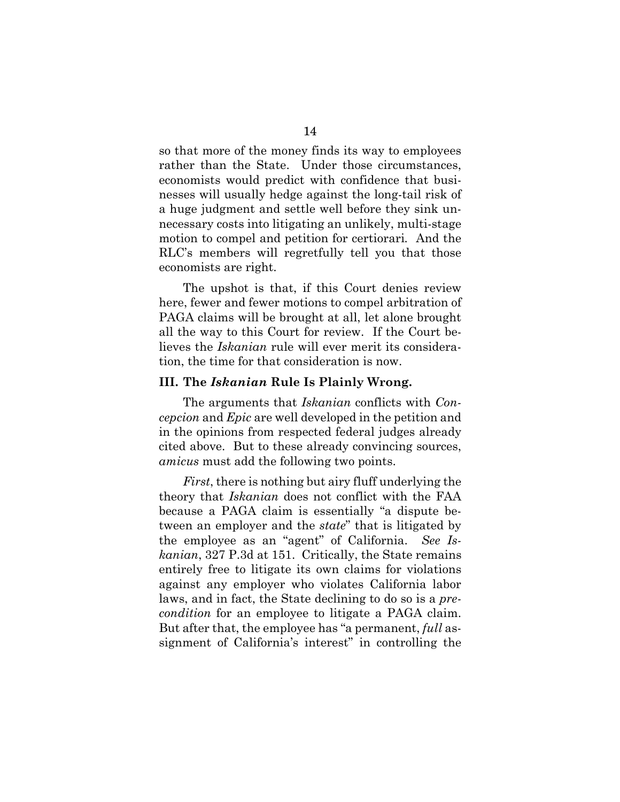so that more of the money finds its way to employees rather than the State. Under those circumstances, economists would predict with confidence that businesses will usually hedge against the long-tail risk of a huge judgment and settle well before they sink unnecessary costs into litigating an unlikely, multi-stage motion to compel and petition for certiorari*.* And the RLC's members will regretfully tell you that those economists are right.

The upshot is that, if this Court denies review here, fewer and fewer motions to compel arbitration of PAGA claims will be brought at all, let alone brought all the way to this Court for review. If the Court believes the *Iskanian* rule will ever merit its consideration, the time for that consideration is now.

#### **III. The** *Iskanian* **Rule Is Plainly Wrong.**

The arguments that *Iskanian* conflicts with *Concepcion* and *Epic* are well developed in the petition and in the opinions from respected federal judges already cited above. But to these already convincing sources, *amicus* must add the following two points.

*First*, there is nothing but airy fluff underlying the theory that *Iskanian* does not conflict with the FAA because a PAGA claim is essentially "a dispute between an employer and the *state*" that is litigated by the employee as an "agent" of California. *See Iskanian*, 327 P.3d at 151. Critically, the State remains entirely free to litigate its own claims for violations against any employer who violates California labor laws, and in fact, the State declining to do so is a *precondition* for an employee to litigate a PAGA claim. But after that, the employee has "a permanent, *full* assignment of California's interest" in controlling the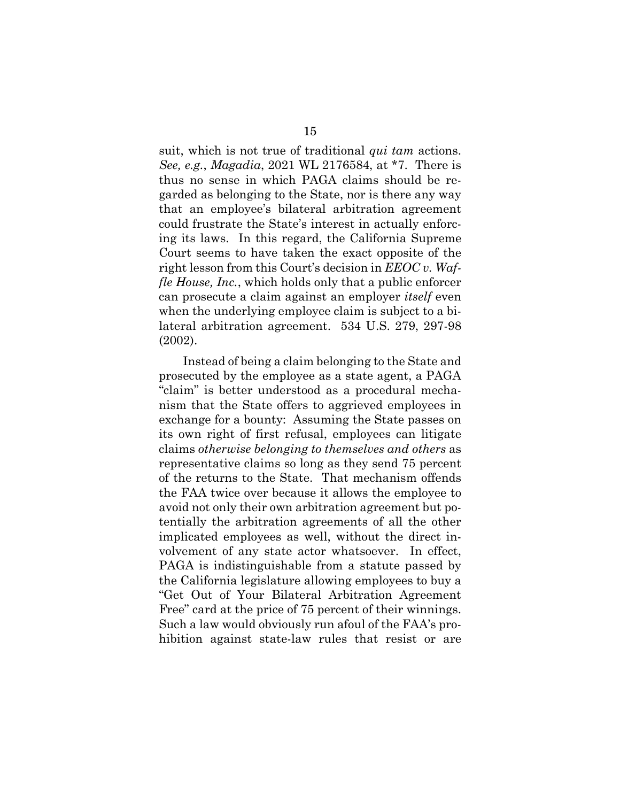suit, which is not true of traditional *qui tam* actions. *See, e.g.*, *Magadia*, 2021 WL 2176584, at \*7. There is thus no sense in which PAGA claims should be regarded as belonging to the State, nor is there any way that an employee's bilateral arbitration agreement could frustrate the State's interest in actually enforcing its laws. In this regard, the California Supreme Court seems to have taken the exact opposite of the right lesson from this Court's decision in *EEOC v. Waffle House, Inc.*, which holds only that a public enforcer can prosecute a claim against an employer *itself* even when the underlying employee claim is subject to a bilateral arbitration agreement. 534 U.S. 279, 297-98 (2002).

Instead of being a claim belonging to the State and prosecuted by the employee as a state agent, a PAGA "claim" is better understood as a procedural mechanism that the State offers to aggrieved employees in exchange for a bounty: Assuming the State passes on its own right of first refusal, employees can litigate claims *otherwise belonging to themselves and others* as representative claims so long as they send 75 percent of the returns to the State. That mechanism offends the FAA twice over because it allows the employee to avoid not only their own arbitration agreement but potentially the arbitration agreements of all the other implicated employees as well, without the direct involvement of any state actor whatsoever. In effect, PAGA is indistinguishable from a statute passed by the California legislature allowing employees to buy a "Get Out of Your Bilateral Arbitration Agreement Free" card at the price of 75 percent of their winnings. Such a law would obviously run afoul of the FAA's prohibition against state-law rules that resist or are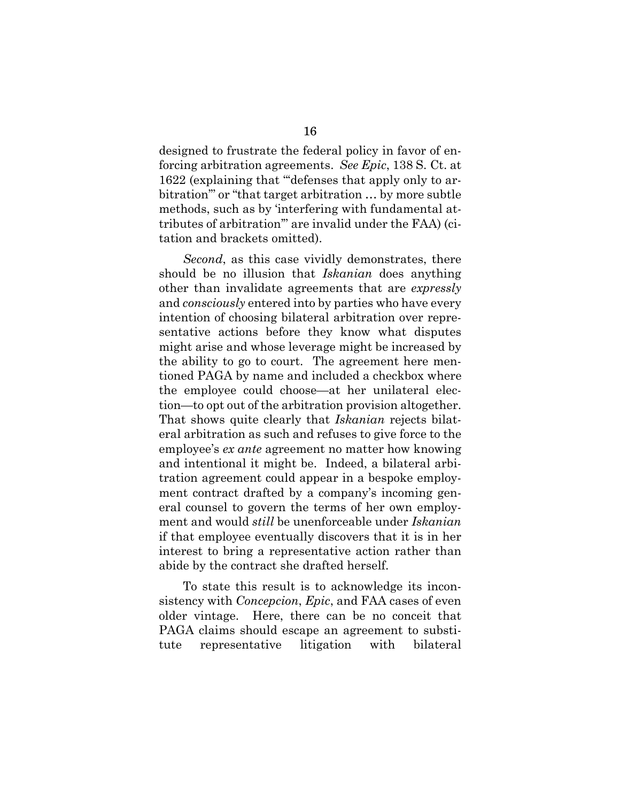designed to frustrate the federal policy in favor of enforcing arbitration agreements. *See Epic*, 138 S. Ct. at 1622 (explaining that "'defenses that apply only to arbitration'" or "that target arbitration … by more subtle methods, such as by 'interfering with fundamental attributes of arbitration'" are invalid under the FAA) (citation and brackets omitted).

*Second*, as this case vividly demonstrates, there should be no illusion that *Iskanian* does anything other than invalidate agreements that are *expressly*  and *consciously* entered into by parties who have every intention of choosing bilateral arbitration over representative actions before they know what disputes might arise and whose leverage might be increased by the ability to go to court. The agreement here mentioned PAGA by name and included a checkbox where the employee could choose—at her unilateral election—to opt out of the arbitration provision altogether. That shows quite clearly that *Iskanian* rejects bilateral arbitration as such and refuses to give force to the employee's *ex ante* agreement no matter how knowing and intentional it might be. Indeed, a bilateral arbitration agreement could appear in a bespoke employment contract drafted by a company's incoming general counsel to govern the terms of her own employment and would *still* be unenforceable under *Iskanian*  if that employee eventually discovers that it is in her interest to bring a representative action rather than abide by the contract she drafted herself.

To state this result is to acknowledge its inconsistency with *Concepcion*, *Epic*, and FAA cases of even older vintage. Here, there can be no conceit that PAGA claims should escape an agreement to substitute representative litigation with bilateral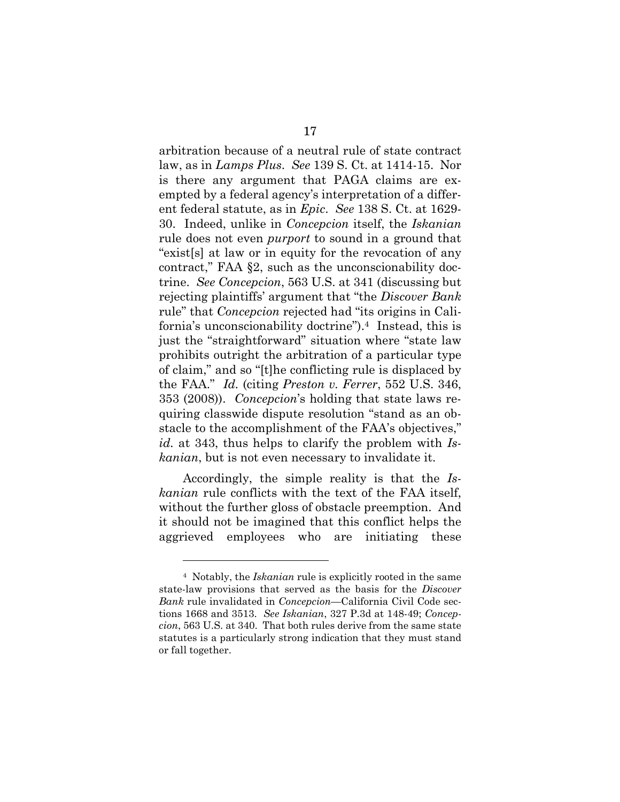arbitration because of a neutral rule of state contract law, as in *Lamps Plus*. *See* 139 S. Ct. at 1414-15. Nor is there any argument that PAGA claims are exempted by a federal agency's interpretation of a different federal statute, as in *Epic*. *See* 138 S. Ct. at 1629- 30. Indeed, unlike in *Concepcion* itself, the *Iskanian*  rule does not even *purport* to sound in a ground that "exist[s] at law or in equity for the revocation of any contract," FAA §2, such as the unconscionability doctrine. *See Concepcion*, 563 U.S. at 341 (discussing but rejecting plaintiffs' argument that "the *Discover Bank*  rule" that *Concepcion* rejected had "its origins in California's unconscionability doctrine").4 Instead, this is just the "straightforward" situation where "state law prohibits outright the arbitration of a particular type of claim," and so "[t]he conflicting rule is displaced by the FAA." *Id.* (citing *Preston v. Ferrer*, 552 U.S. 346, 353 (2008)). *Concepcion*'s holding that state laws requiring classwide dispute resolution "stand as an obstacle to the accomplishment of the FAA's objectives," *id.* at 343, thus helps to clarify the problem with *Iskanian*, but is not even necessary to invalidate it.

Accordingly, the simple reality is that the *Iskanian* rule conflicts with the text of the FAA itself, without the further gloss of obstacle preemption. And it should not be imagined that this conflict helps the aggrieved employees who are initiating these

<sup>4</sup> Notably, the *Iskanian* rule is explicitly rooted in the same state-law provisions that served as the basis for the *Discover Bank* rule invalidated in *Concepcion*—California Civil Code sections 1668 and 3513. *See Iskanian*, 327 P.3d at 148-49; *Concepcion*, 563 U.S. at 340. That both rules derive from the same state statutes is a particularly strong indication that they must stand or fall together.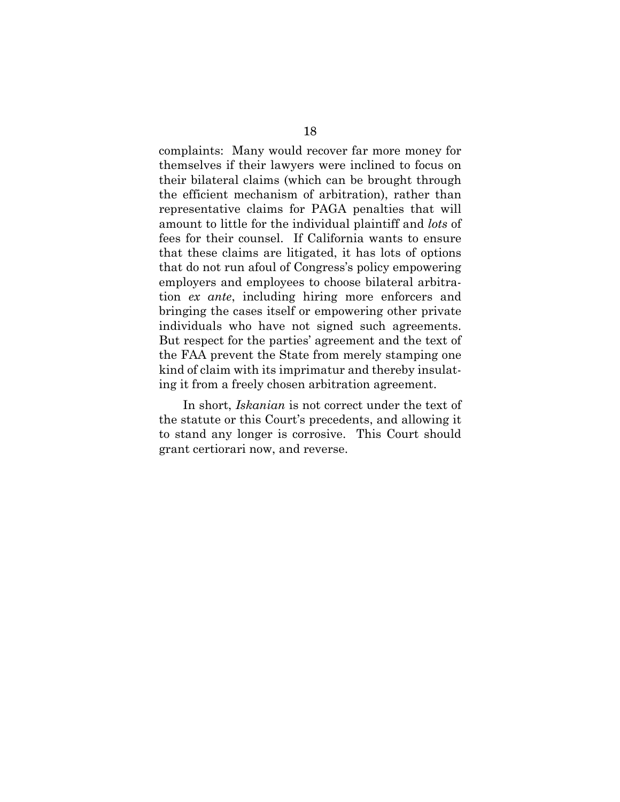complaints: Many would recover far more money for themselves if their lawyers were inclined to focus on their bilateral claims (which can be brought through the efficient mechanism of arbitration), rather than representative claims for PAGA penalties that will amount to little for the individual plaintiff and *lots* of fees for their counsel. If California wants to ensure that these claims are litigated, it has lots of options that do not run afoul of Congress's policy empowering employers and employees to choose bilateral arbitration *ex ante*, including hiring more enforcers and bringing the cases itself or empowering other private individuals who have not signed such agreements. But respect for the parties' agreement and the text of the FAA prevent the State from merely stamping one kind of claim with its imprimatur and thereby insulating it from a freely chosen arbitration agreement.

In short, *Iskanian* is not correct under the text of the statute or this Court's precedents, and allowing it to stand any longer is corrosive. This Court should grant certiorari now, and reverse.